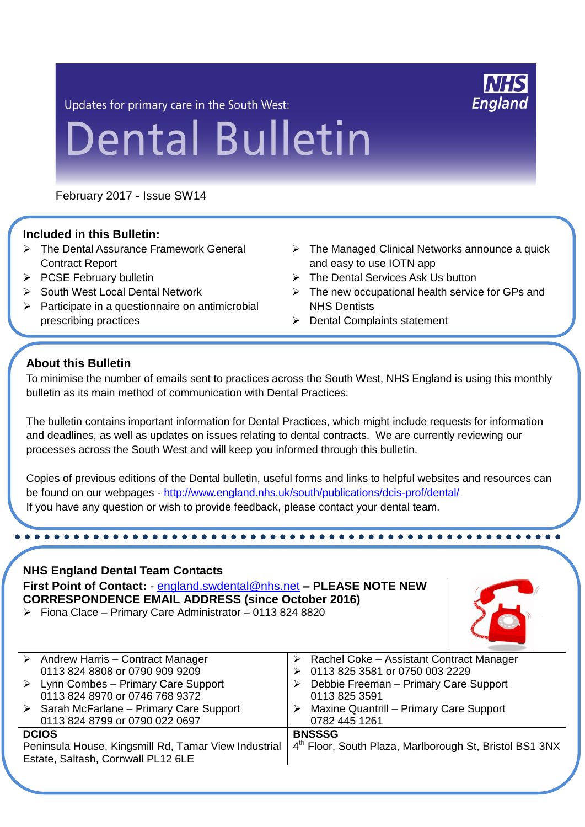Updates for primary care in the South West:

# **England**

# **Dental Bulletin**

February 2017 - Issue SW14

#### **Included in this Bulletin:**

- The Dental Assurance Framework General Contract Report
- $\triangleright$  PCSE February bulletin
- $\triangleright$  South West Local Dental Network
- $\triangleright$  Participate in a questionnaire on antimicrobial prescribing practices

...................

- > The Managed Clinical Networks announce a quick and easy to use IOTN app
- $\triangleright$  The Dental Services Ask Us button
- $\triangleright$  The new occupational health service for GPs and NHS Dentists
- **▶ Dental Complaints statement**

#### **About this Bulletin**

To minimise the number of emails sent to practices across the South West, NHS England is using this monthly bulletin as its main method of communication with Dental Practices.

i<br>T

The bulletin contains important information for Dental Practices, which might include requests for information and deadlines, as well as updates on issues relating to dental contracts. We are currently reviewing our processes across the South West and will keep you informed through this bulletin.

Copies of previous editions of the Dental bulletin, useful forms and links to helpful websites and resources can be found on our webpages - <http://www.england.nhs.uk/south/publications/dcis-prof/dental/> If you have any question or wish to provide feedback, please contact your dental team.

**NHS England Dental Team Contacts First Point of Contact:** - [england.swdental@nhs.net](mailto:england.swdental@nhs.net) **– PLEASE NOTE NEW CORRESPONDENCE EMAIL ADDRESS (since October 2016)**  $\triangleright$  Fiona Clace – Primary Care Administrator – 0113 824 8820



|                                                      | $\triangleright$ Andrew Harris – Contract Manager       |   | $\triangleright$ Rachel Coke – Assistant Contract Manager |  |  |
|------------------------------------------------------|---------------------------------------------------------|---|-----------------------------------------------------------|--|--|
|                                                      | 0113 824 8808 or 0790 909 9209                          |   | 0113 825 3581 or 0750 003 2229                            |  |  |
|                                                      | $\triangleright$ Lynn Combes – Primary Care Support     |   | Debbie Freeman - Primary Care Support                     |  |  |
|                                                      | 0113 824 8970 or 0746 768 9372                          |   | 0113 825 3591                                             |  |  |
|                                                      | $\triangleright$ Sarah McFarlane – Primary Care Support | ➤ | <b>Maxine Quantrill - Primary Care Support</b>            |  |  |
|                                                      | 0113 824 8799 or 0790 022 0697                          |   | 0782 445 1261                                             |  |  |
| <b>DCIOS</b>                                         |                                                         |   | <b>BNSSSG</b>                                             |  |  |
| Peninsula House, Kingsmill Rd, Tamar View Industrial |                                                         |   | 4th Floor, South Plaza, Marlborough St, Bristol BS1 3NX   |  |  |
| Estate, Saltash, Cornwall PL12 6LE                   |                                                         |   |                                                           |  |  |
|                                                      |                                                         |   |                                                           |  |  |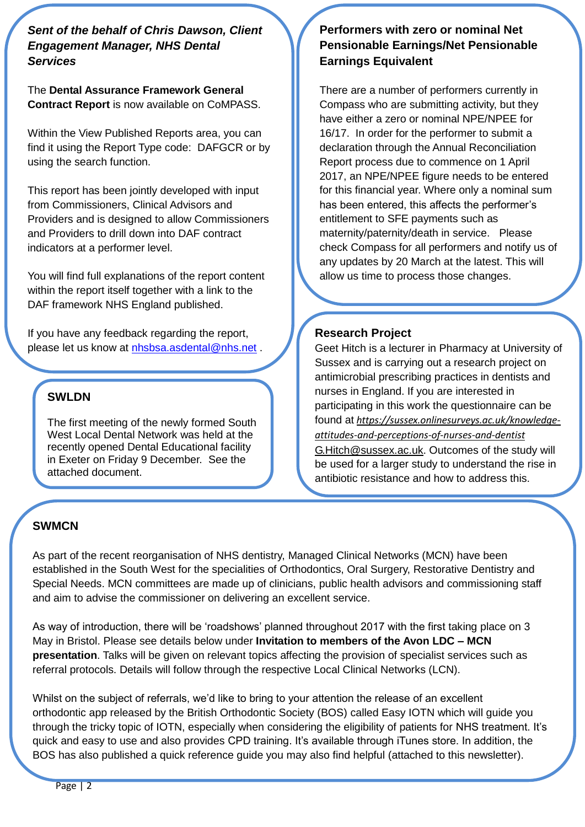*Sent of the behalf of Chris Dawson, Client Engagement Manager, NHS Dental Services*

The **Dental Assurance Framework General Contract Report** is now available on CoMPASS.

Within the View Published Reports area, you can find it using the Report Type code: DAFGCR or by using the search function.

This report has been jointly developed with input from Commissioners, Clinical Advisors and Providers and is designed to allow Commissioners and Providers to drill down into DAF contract indicators at a performer level.

You will find full explanations of the report content within the report itself together with a link to the DAF framework NHS England published.

If you have any feedback regarding the report, please let us know at [nhsbsa.asdental@nhs.net](mailto:nhsbsa.asdental@nhs.net) .

An anonymised example report is attached.

#### **SWLDN**

The first meeting of the newly formed South West Local Dental Network was held at the recently opened Dental Educational facility in Exeter on Friday 9 December. See the attached document.

### **Performers with zero or nominal Net Pensionable Earnings/Net Pensionable Earnings Equivalent**

There are a number of performers currently in Compass who are submitting activity, but they have either a zero or nominal NPE/NPEE for 16/17. In order for the performer to submit a declaration through the Annual Reconciliation Report process due to commence on 1 April 2017, an NPE/NPEE figure needs to be entered for this financial year. Where only a nominal sum has been entered, this affects the performer's entitlement to SFE payments such as maternity/paternity/death in service. Please check Compass for all performers and notify us of any updates by 20 March at the latest. This will allow us time to process those changes.

#### **Research Project**

Geet Hitch is a lecturer in Pharmacy at University of Sussex and is carrying out a research project on antimicrobial prescribing practices in dentists and nurses in England. If you are interested in participating in this work the questionnaire can be found at *[https://sussex.onlinesurveys.ac.uk/knowledge](https://sussex.onlinesurveys.ac.uk/knowledge-attitudes-and-perceptions-of-nurses-and-dentist)[attitudes-and-perceptions-of-nurses-and-dentist](https://sussex.onlinesurveys.ac.uk/knowledge-attitudes-and-perceptions-of-nurses-and-dentist)* [G.Hitch@sussex.ac.uk.](mailto:G.Hitch@sussex.ac.uk) Outcomes of the study will be used for a larger study to understand the rise in antibiotic resistance and how to address this.

#### **SWMCN**

As part of the recent reorganisation of NHS dentistry, Managed Clinical Networks (MCN) have been established in the South West for the specialities of Orthodontics, Oral Surgery, Restorative Dentistry and Special Needs. MCN committees are made up of clinicians, public health advisors and commissioning staff and aim to advise the commissioner on delivering an excellent service.

As way of introduction, there will be 'roadshows' planned throughout 2017 with the first taking place on 3 May in Bristol. Please see details below under **Invitation to members of the Avon LDC – MCN presentation**. Talks will be given on relevant topics affecting the provision of specialist services such as referral protocols. Details will follow through the respective Local Clinical Networks (LCN).

Whilst on the subject of referrals, we'd like to bring to your attention the release of an excellent orthodontic app released by the British Orthodontic Society (BOS) called Easy IOTN which will guide you through the tricky topic of IOTN, especially when considering the eligibility of patients for NHS treatment. It's quick and easy to use and also provides CPD training. It's available through iTunes store. In addition, the BOS has also published a quick reference guide you may also find helpful (attached to this newsletter).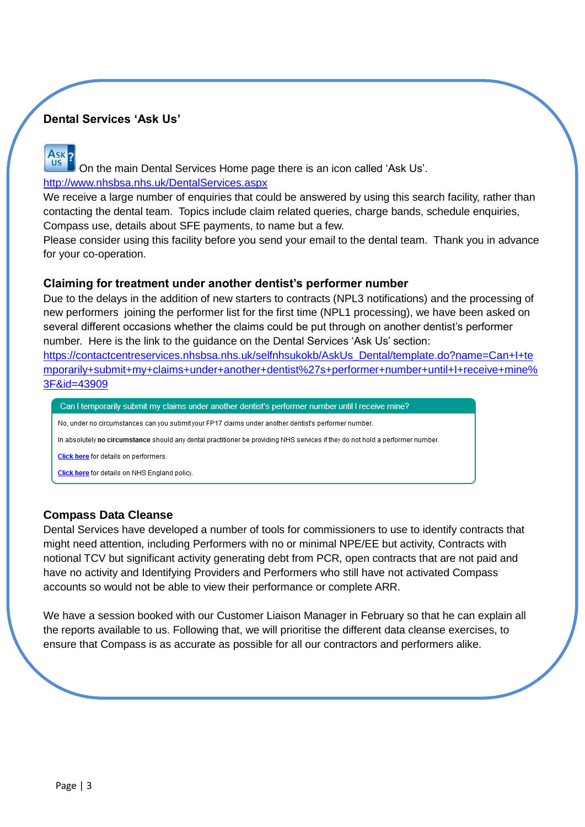### **Dental Services 'Ask Us'**

Ask<sub>2</sub> **US** 

On the main Dental Services Home page there is an icon called 'Ask Us'. <http://www.nhsbsa.nhs.uk/DentalServices.aspx>

We receive a large number of enquiries that could be answered by using this search facility, rather than contacting the dental team. Topics include claim related queries, charge bands, schedule enquiries, Compass use, details about SFE payments, to name but a few.

Please consider using this facility before you send your email to the dental team. Thank you in advance for your co-operation.

#### **Claiming for treatment under another dentist's performer number**

Due to the delays in the addition of new starters to contracts (NPL3 notifications) and the processing of new performers joining the performer list for the first time (NPL1 processing), we have been asked on several different occasions whether the claims could be put through on another dentist's performer number. Here is the link to the guidance on the Dental Services 'Ask Us' section:

[https://contactcentreservices.nhsbsa.nhs.uk/selfnhsukokb/AskUs\\_Dental/template.do?name=Can+I+te](https://contactcentreservices.nhsbsa.nhs.uk/selfnhsukokb/AskUs_Dental/template.do?name=Can+I+temporarily+submit+my+claims+under+another+dentist%27s+performer+number+until+I+receive+mine%3F&id=43909) [mporarily+submit+my+claims+under+another+dentist%27s+performer+number+until+I+receive+mine%](https://contactcentreservices.nhsbsa.nhs.uk/selfnhsukokb/AskUs_Dental/template.do?name=Can+I+temporarily+submit+my+claims+under+another+dentist%27s+performer+number+until+I+receive+mine%3F&id=43909) [3F&id=43909](https://contactcentreservices.nhsbsa.nhs.uk/selfnhsukokb/AskUs_Dental/template.do?name=Can+I+temporarily+submit+my+claims+under+another+dentist%27s+performer+number+until+I+receive+mine%3F&id=43909)

Can I temporarily submit my claims under another dentist's performer number until I receive mine?

No, under no circumstances can you submit your FP17 claims under another dentist's performer number.

In absolutely no circumstance should any dental practitioner be providing NHS services if they do not hold a performer number.

Click here for details on performers

Click here for details on NHS England policy.

#### **Compass Data Cleanse**

Dental Services have developed a number of tools for commissioners to use to identify contracts that might need attention, including Performers with no or minimal NPE/EE but activity, Contracts with notional TCV but significant activity generating debt from PCR, open contracts that are not paid and have no activity and Identifying Providers and Performers who still have not activated Compass accounts so would not be able to view their performance or complete ARR.

We have a session booked with our Customer Liaison Manager in February so that he can explain all the reports available to us. Following that, we will prioritise the different data cleanse exercises, to ensure that Compass is as accurate as possible for all our contractors and performers alike.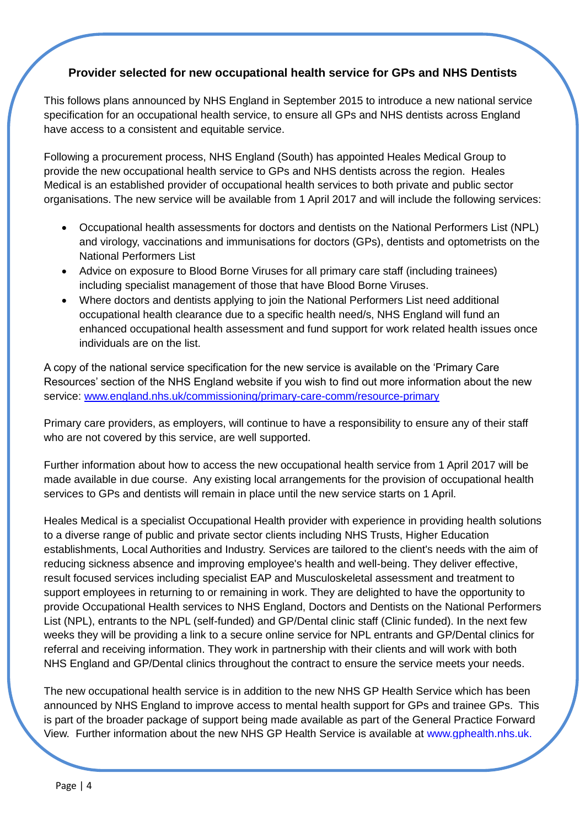#### **Provider selected for new occupational health service for GPs and NHS Dentists**

This follows plans announced by NHS England in September 2015 to introduce a new national service specification for an occupational health service, to ensure all GPs and NHS dentists across England have access to a consistent and equitable service.

Following a procurement process, NHS England (South) has appointed Heales Medical Group to provide the new occupational health service to GPs and NHS dentists across the region. Heales Medical is an established provider of occupational health services to both private and public sector organisations. The new service will be available from 1 April 2017 and will include the following services:

- Occupational health assessments for doctors and dentists on the National Performers List (NPL) and virology, vaccinations and immunisations for doctors (GPs), dentists and optometrists on the National Performers List
- Advice on exposure to Blood Borne Viruses for all primary care staff (including trainees) including specialist management of those that have Blood Borne Viruses.
- Where doctors and dentists applying to join the National Performers List need additional occupational health clearance due to a specific health need/s, NHS England will fund an enhanced occupational health assessment and fund support for work related health issues once individuals are on the list.

A copy of the national service specification for the new service is available on the 'Primary Care Resources' section of the NHS England website if you wish to find out more information about the new service: [www.england.nhs.uk/commissioning/primary-care-comm/resource-primary](http://www.england.nhs.uk/commissioning/primary-care-comm/resource-primary)

Primary care providers, as employers, will continue to have a responsibility to ensure any of their staff who are not covered by this service, are well supported.

Further information about how to access the new occupational health service from 1 April 2017 will be made available in due course. Any existing local arrangements for the provision of occupational health services to GPs and dentists will remain in place until the new service starts on 1 April.

Heales Medical is a specialist Occupational Health provider with experience in providing health solutions to a diverse range of public and private sector clients including NHS Trusts, Higher Education establishments, Local Authorities and Industry. Services are tailored to the client's needs with the aim of reducing sickness absence and improving employee's health and well-being. They deliver effective, result focused services including specialist EAP and Musculoskeletal assessment and treatment to support employees in returning to or remaining in work. They are delighted to have the opportunity to provide Occupational Health services to NHS England, Doctors and Dentists on the National Performers List (NPL), entrants to the NPL (self-funded) and GP/Dental clinic staff (Clinic funded). In the next few weeks they will be providing a link to a secure online service for NPL entrants and GP/Dental clinics for referral and receiving information. They work in partnership with their clients and will work with both NHS England and GP/Dental clinics throughout the contract to ensure the service meets your needs.

The new occupational health service is in addition to the new NHS GP Health Service which has been announced by NHS England to improve access to mental health support for GPs and trainee GPs. This is part of the broader package of support being made available as part of the General Practice Forward View. Further information about the new NHS GP Health Service is available at [www.gphealth.nhs.uk.](http://www.gphealth.nhs.uk/)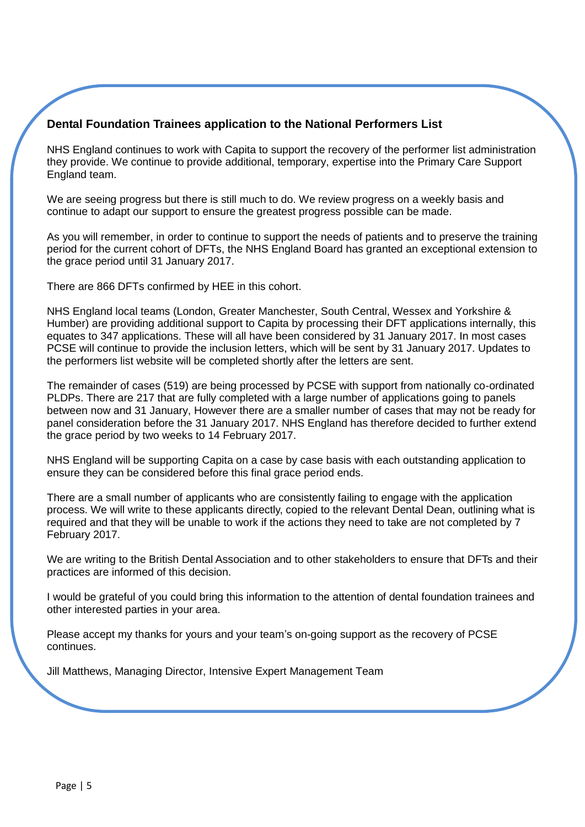#### **Dental Foundation Trainees application to the National Performers List**

NHS England continues to work with Capita to support the recovery of the performer list administration they provide. We continue to provide additional, temporary, expertise into the Primary Care Support England team.

We are seeing progress but there is still much to do. We review progress on a weekly basis and continue to adapt our support to ensure the greatest progress possible can be made.

As you will remember, in order to continue to support the needs of patients and to preserve the training period for the current cohort of DFTs, the NHS England Board has granted an exceptional extension to the grace period until 31 January 2017.

There are 866 DFTs confirmed by HEE in this cohort.

NHS England local teams (London, Greater Manchester, South Central, Wessex and Yorkshire & Humber) are providing additional support to Capita by processing their DFT applications internally, this equates to 347 applications. These will all have been considered by 31 January 2017. In most cases PCSE will continue to provide the inclusion letters, which will be sent by 31 January 2017. Updates to the performers list website will be completed shortly after the letters are sent.

The remainder of cases (519) are being processed by PCSE with support from nationally co-ordinated PLDPs. There are 217 that are fully completed with a large number of applications going to panels between now and 31 January, However there are a smaller number of cases that may not be ready for panel consideration before the 31 January 2017. NHS England has therefore decided to further extend the grace period by two weeks to 14 February 2017.

NHS England will be supporting Capita on a case by case basis with each outstanding application to ensure they can be considered before this final grace period ends.

There are a small number of applicants who are consistently failing to engage with the application process. We will write to these applicants directly, copied to the relevant Dental Dean, outlining what is required and that they will be unable to work if the actions they need to take are not completed by 7 February 2017.

We are writing to the British Dental Association and to other stakeholders to ensure that DFTs and their practices are informed of this decision.

I would be grateful of you could bring this information to the attention of dental foundation trainees and other interested parties in your area.

Please accept my thanks for yours and your team's on-going support as the recovery of PCSE continues.

Jill Matthews, Managing Director, Intensive Expert Management Team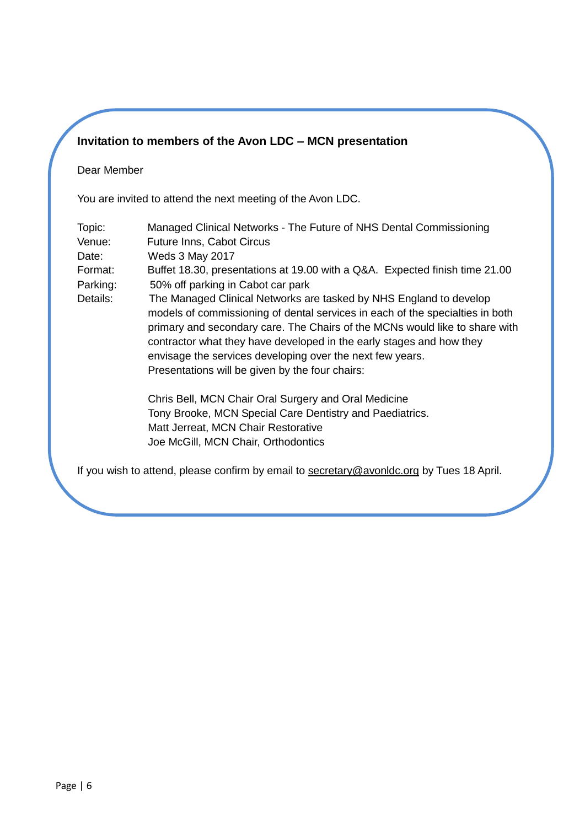## **Invitation to members of the Avon LDC – MCN presentation**

#### Dear Member

You are invited to attend the next meeting of the Avon LDC.

| Topic:<br>Venue:<br>Date: | Managed Clinical Networks - The Future of NHS Dental Commissioning<br>Future Inns, Cabot Circus<br><b>Weds 3 May 2017</b>                                                                                                                                                                                                                                                                                                  |
|---------------------------|----------------------------------------------------------------------------------------------------------------------------------------------------------------------------------------------------------------------------------------------------------------------------------------------------------------------------------------------------------------------------------------------------------------------------|
| Format:                   | Buffet 18.30, presentations at 19.00 with a Q&A. Expected finish time 21.00                                                                                                                                                                                                                                                                                                                                                |
| Parking:                  | 50% off parking in Cabot car park                                                                                                                                                                                                                                                                                                                                                                                          |
| Details:                  | The Managed Clinical Networks are tasked by NHS England to develop<br>models of commissioning of dental services in each of the specialties in both<br>primary and secondary care. The Chairs of the MCNs would like to share with<br>contractor what they have developed in the early stages and how they<br>envisage the services developing over the next few years.<br>Presentations will be given by the four chairs: |
|                           | Chris Bell, MCN Chair Oral Surgery and Oral Medicine                                                                                                                                                                                                                                                                                                                                                                       |
|                           | Tony Brooke, MCN Special Care Dentistry and Paediatrics.<br>Matt Jerreat, MCN Chair Restorative                                                                                                                                                                                                                                                                                                                            |
|                           | Joe McGill, MCN Chair, Orthodontics                                                                                                                                                                                                                                                                                                                                                                                        |

If you wish to attend, please confirm by email to [secretary@avonldc.org](mailto:secretary@avonldc.org) by Tues 18 April.